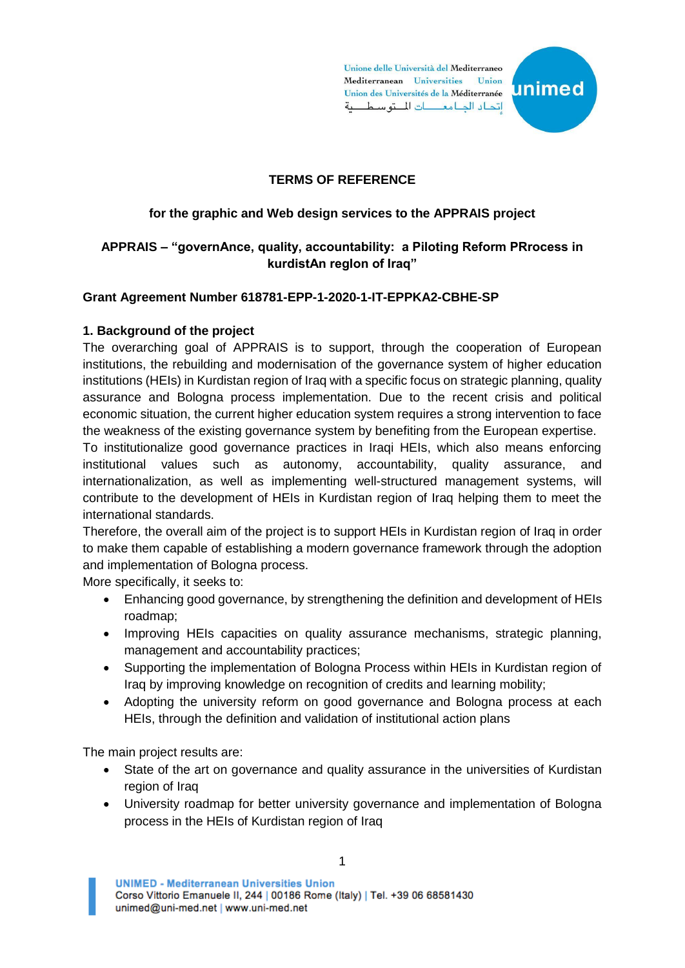Unione delle Università del Mediterraneo Mediterranean Universities Union Union des Universités de la Méditerranée اتحاد الدامع التوسطية



# **TERMS OF REFERENCE**

# **for the graphic and Web design services to the APPRAIS project**

# **APPRAIS – "governAnce, quality, accountability: a Piloting Reform PRrocess in kurdistAn regIon of Iraq"**

#### **Grant Agreement Number 618781-EPP-1-2020-1-IT-EPPKA2-CBHE-SP**

#### **1. Background of the project**

The overarching goal of APPRAIS is to support, through the cooperation of European institutions, the rebuilding and modernisation of the governance system of higher education institutions (HEIs) in Kurdistan region of Iraq with a specific focus on strategic planning, quality assurance and Bologna process implementation. Due to the recent crisis and political economic situation, the current higher education system requires a strong intervention to face the weakness of the existing governance system by benefiting from the European expertise.

To institutionalize good governance practices in Iraqi HEIs, which also means enforcing institutional values such as autonomy, accountability, quality assurance, and internationalization, as well as implementing well-structured management systems, will contribute to the development of HEIs in Kurdistan region of Iraq helping them to meet the international standards.

Therefore, the overall aim of the project is to support HEIs in Kurdistan region of Iraq in order to make them capable of establishing a modern governance framework through the adoption and implementation of Bologna process.

More specifically, it seeks to:

- Enhancing good governance, by strengthening the definition and development of HEIs roadmap;
- Improving HEIs capacities on quality assurance mechanisms, strategic planning, management and accountability practices;
- Supporting the implementation of Bologna Process within HEIs in Kurdistan region of Iraq by improving knowledge on recognition of credits and learning mobility;
- Adopting the university reform on good governance and Bologna process at each HEIs, through the definition and validation of institutional action plans

The main project results are:

- State of the art on governance and quality assurance in the universities of Kurdistan region of Iraq
- University roadmap for better university governance and implementation of Bologna process in the HEIs of Kurdistan region of Iraq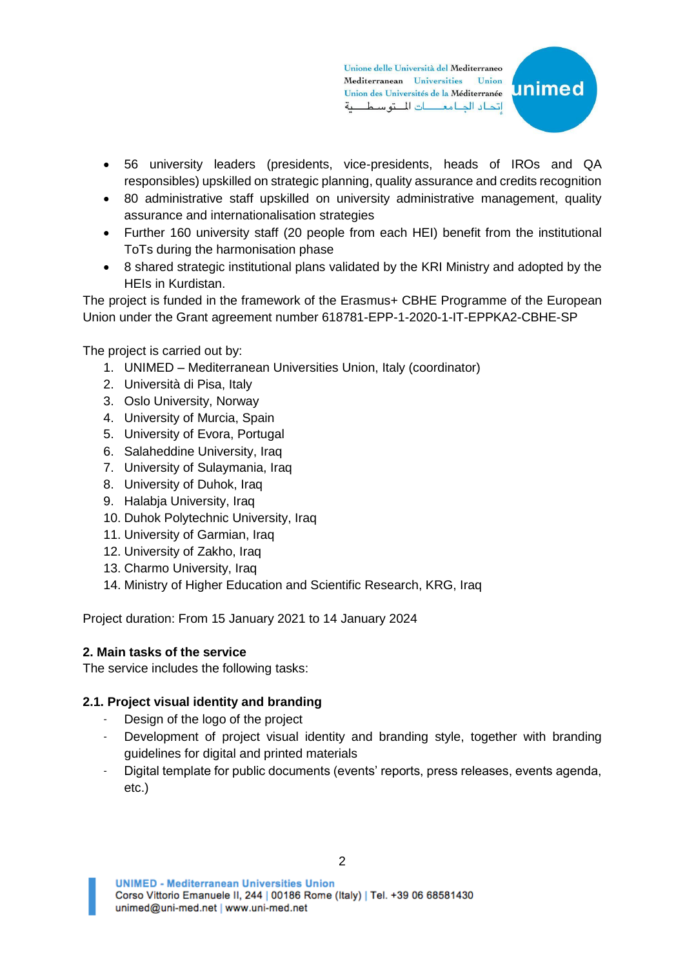Unione delle Università del Mediterraneo Mediterranean Universities Union Union des Universités de la Méditerranée اتحاد الدامعات للتوسطية



- 56 university leaders (presidents, vice-presidents, heads of IROs and QA responsibles) upskilled on strategic planning, quality assurance and credits recognition
- 80 administrative staff upskilled on university administrative management, quality assurance and internationalisation strategies
- Further 160 university staff (20 people from each HEI) benefit from the institutional ToTs during the harmonisation phase
- 8 shared strategic institutional plans validated by the KRI Ministry and adopted by the HEIs in Kurdistan.

The project is funded in the framework of the Erasmus+ CBHE Programme of the European Union under the Grant agreement number 618781-EPP-1-2020-1-IT-EPPKA2-CBHE-SP

The project is carried out by:

- 1. UNIMED Mediterranean Universities Union, Italy (coordinator)
- 2. Università di Pisa, Italy
- 3. Oslo University, Norway
- 4. University of Murcia, Spain
- 5. University of Evora, Portugal
- 6. Salaheddine University, Iraq
- 7. University of Sulaymania, Iraq
- 8. University of Duhok, Iraq
- 9. Halabja University, Iraq
- 10. Duhok Polytechnic University, Iraq
- 11. University of Garmian, Iraq
- 12. University of Zakho, Iraq
- 13. Charmo University, Iraq
- 14. Ministry of Higher Education and Scientific Research, KRG, Iraq

Project duration: From 15 January 2021 to 14 January 2024

#### **2. Main tasks of the service**

The service includes the following tasks:

#### **2.1. Project visual identity and branding**

- Design of the logo of the project
- Development of project visual identity and branding style, together with branding guidelines for digital and printed materials
- Digital template for public documents (events' reports, press releases, events agenda, etc.)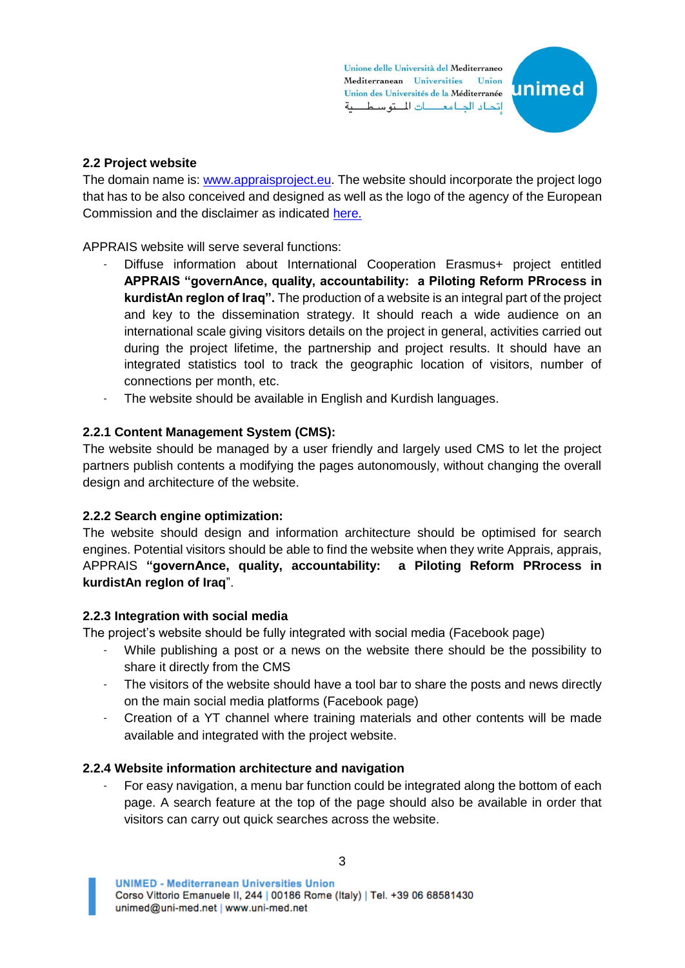Unione delle Università del Mediterraneo Mediterranean Universities Union Union des Universités de la Méditerranée اتحاد الحامعات للتوسطية



# **2.2 Project website**

The domain name is[: www.appraisproject.eu.](http://www.appraisproject.eu/) The website should incorporate the project logo that has to be also conceived and designed as well as the logo of the agency of the European Commission and the disclaimer as indicated [here.](https://wayback.archive-it.org/12090/20210122031341/https:/eacea.ec.europa.eu/about-eacea/visual-identity-and-logos-eacea/erasmus-visual-identity-and-logos_en)

APPRAIS website will serve several functions:

- Diffuse information about International Cooperation Erasmus+ project entitled **APPRAIS "governAnce, quality, accountability: a Piloting Reform PRrocess in kurdistAn regIon of Iraq".** The production of a website is an integral part of the project and key to the dissemination strategy. It should reach a wide audience on an international scale giving visitors details on the project in general, activities carried out during the project lifetime, the partnership and project results. It should have an integrated statistics tool to track the geographic location of visitors, number of connections per month, etc.
- The website should be available in English and Kurdish languages.

# **2.2.1 Content Management System (CMS):**

The website should be managed by a user friendly and largely used CMS to let the project partners publish contents a modifying the pages autonomously, without changing the overall design and architecture of the website.

### **2.2.2 Search engine optimization:**

The website should design and information architecture should be optimised for search engines. Potential visitors should be able to find the website when they write Apprais, apprais, APPRAIS **"governAnce, quality, accountability: a Piloting Reform PRrocess in kurdistAn regIon of Iraq**".

### **2.2.3 Integration with social media**

The project's website should be fully integrated with social media (Facebook page)

- While publishing a post or a news on the website there should be the possibility to share it directly from the CMS
- The visitors of the website should have a tool bar to share the posts and news directly on the main social media platforms (Facebook page)
- Creation of a YT channel where training materials and other contents will be made available and integrated with the project website.

### **2.2.4 Website information architecture and navigation**

For easy navigation, a menu bar function could be integrated along the bottom of each page. A search feature at the top of the page should also be available in order that visitors can carry out quick searches across the website.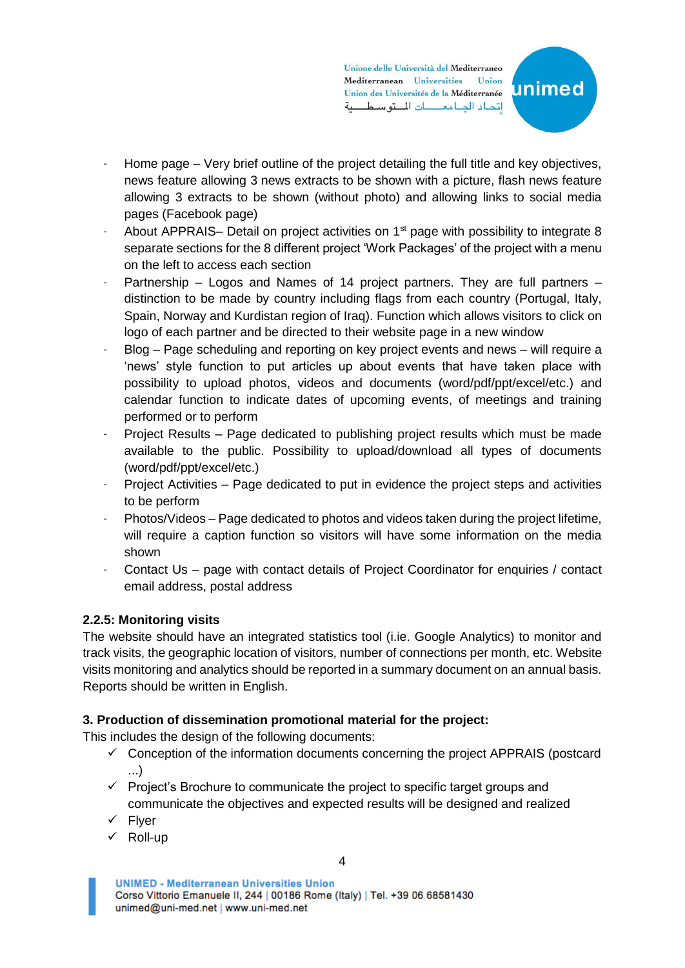Unione delle Università del Mediterraneo Mediterranean Universities Union Union des Universités de la Méditerranée اتحاد الدامعات للتوسطية



- Home page Very brief outline of the project detailing the full title and key objectives, news feature allowing 3 news extracts to be shown with a picture, flash news feature allowing 3 extracts to be shown (without photo) and allowing links to social media pages (Facebook page)
- About APPRAIS– Detail on project activities on  $1<sup>st</sup>$  page with possibility to integrate 8 separate sections for the 8 different project 'Work Packages' of the project with a menu on the left to access each section
- Partnership Logos and Names of 14 project partners. They are full partners distinction to be made by country including flags from each country (Portugal, Italy, Spain, Norway and Kurdistan region of Iraq). Function which allows visitors to click on logo of each partner and be directed to their website page in a new window
- Blog Page scheduling and reporting on key project events and news will require a 'news' style function to put articles up about events that have taken place with possibility to upload photos, videos and documents (word/pdf/ppt/excel/etc.) and calendar function to indicate dates of upcoming events, of meetings and training performed or to perform
- Project Results Page dedicated to publishing project results which must be made available to the public. Possibility to upload/download all types of documents (word/pdf/ppt/excel/etc.)
- Project Activities Page dedicated to put in evidence the project steps and activities to be perform
- Photos/Videos Page dedicated to photos and videos taken during the project lifetime, will require a caption function so visitors will have some information on the media shown
- Contact Us page with contact details of Project Coordinator for enquiries / contact email address, postal address

# **2.2.5: Monitoring visits**

The website should have an integrated statistics tool (i.ie. Google Analytics) to monitor and track visits, the geographic location of visitors, number of connections per month, etc. Website visits monitoring and analytics should be reported in a summary document on an annual basis. Reports should be written in English.

### **3. Production of dissemination promotional material for the project:**

This includes the design of the following documents:

- $\checkmark$  Conception of the information documents concerning the project APPRAIS (postcard ...)
- $\checkmark$  Project's Brochure to communicate the project to specific target groups and communicate the objectives and expected results will be designed and realized
- ✓ Flyer
- ✓ Roll-up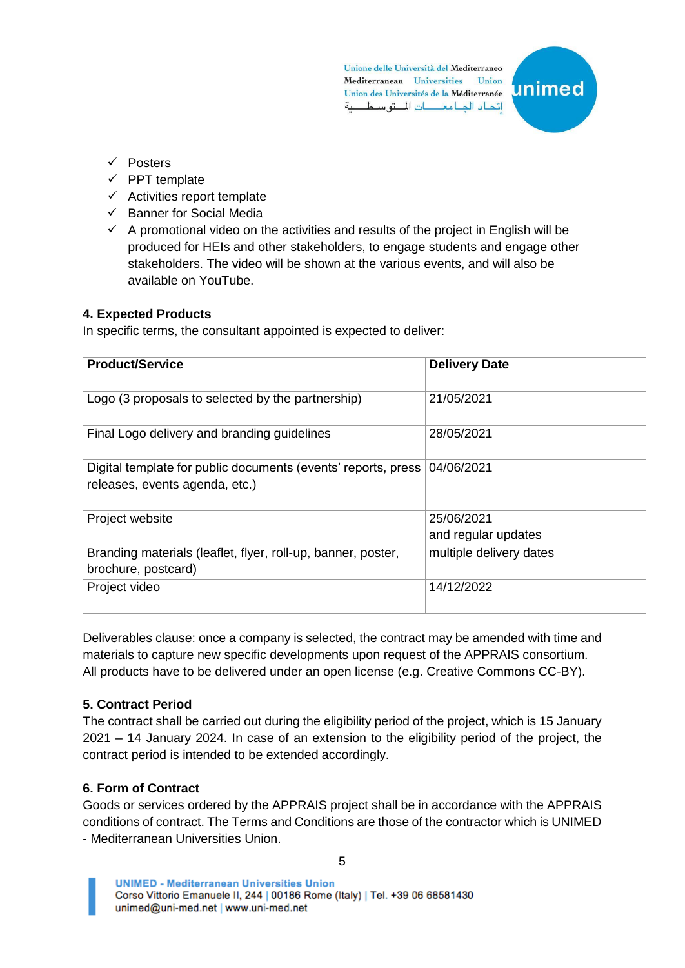Unione delle Università del Mediterraneo Mediterranean Universities Union Union des Universités de la Méditerranée اتحاد الدامع التوسطية



- ✓ Posters
- $\checkmark$  PPT template
- $\checkmark$  Activities report template
- ✓ Banner for Social Media
- $\checkmark$  A promotional video on the activities and results of the project in English will be produced for HEIs and other stakeholders, to engage students and engage other stakeholders. The video will be shown at the various events, and will also be available on YouTube.

#### **4. Expected Products**

In specific terms, the consultant appointed is expected to deliver:

| <b>Product/Service</b>                                        | <b>Delivery Date</b>    |
|---------------------------------------------------------------|-------------------------|
|                                                               |                         |
| Logo (3 proposals to selected by the partnership)             | 21/05/2021              |
|                                                               |                         |
| Final Logo delivery and branding guidelines                   | 28/05/2021              |
| Digital template for public documents (events' reports, press | 04/06/2021              |
| releases, events agenda, etc.)                                |                         |
|                                                               |                         |
| Project website                                               | 25/06/2021              |
|                                                               | and regular updates     |
| Branding materials (leaflet, flyer, roll-up, banner, poster,  | multiple delivery dates |
| brochure, postcard)                                           |                         |
| Project video                                                 | 14/12/2022              |
|                                                               |                         |

Deliverables clause: once a company is selected, the contract may be amended with time and materials to capture new specific developments upon request of the APPRAIS consortium. All products have to be delivered under an open license (e.g. Creative Commons CC-BY).

### **5. Contract Period**

The contract shall be carried out during the eligibility period of the project, which is 15 January 2021 – 14 January 2024. In case of an extension to the eligibility period of the project, the contract period is intended to be extended accordingly.

### **6. Form of Contract**

Goods or services ordered by the APPRAIS project shall be in accordance with the APPRAIS conditions of contract. The Terms and Conditions are those of the contractor which is UNIMED - Mediterranean Universities Union.